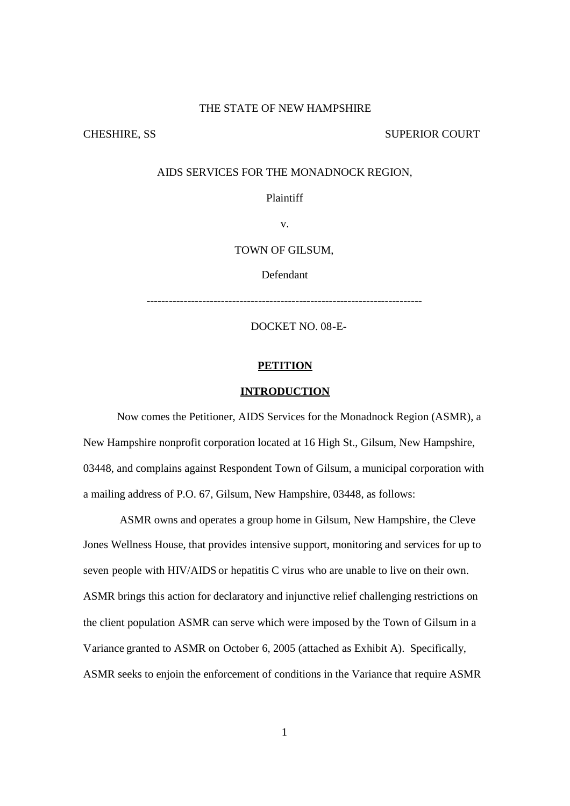### THE STATE OF NEW HAMPSHIRE

CHESHIRE, SS SUPERIOR COURT

### AIDS SERVICES FOR THE MONADNOCK REGION,

Plaintiff

v.

### TOWN OF GILSUM,

Defendant

--------------------------------------------------------------------------

DOCKET NO. 08-E-

#### **PETITION**

### **INTRODUCTION**

Now comes the Petitioner, AIDS Services for the Monadnock Region (ASMR), a New Hampshire nonprofit corporation located at 16 High St., Gilsum, New Hampshire, 03448, and complains against Respondent Town of Gilsum, a municipal corporation with a mailing address of P.O. 67, Gilsum, New Hampshire, 03448, as follows:

ASMR owns and operates a group home in Gilsum, New Hampshire, the Cleve Jones Wellness House, that provides intensive support, monitoring and services for up to seven people with HIV/AIDS or hepatitis C virus who are unable to live on their own. ASMR brings this action for declaratory and injunctive relief challenging restrictions on the client population ASMR can serve which were imposed by the Town of Gilsum in a Variance granted to ASMR on October 6, 2005 (attached as Exhibit A). Specifically, ASMR seeks to enjoin the enforcement of conditions in the Variance that require ASMR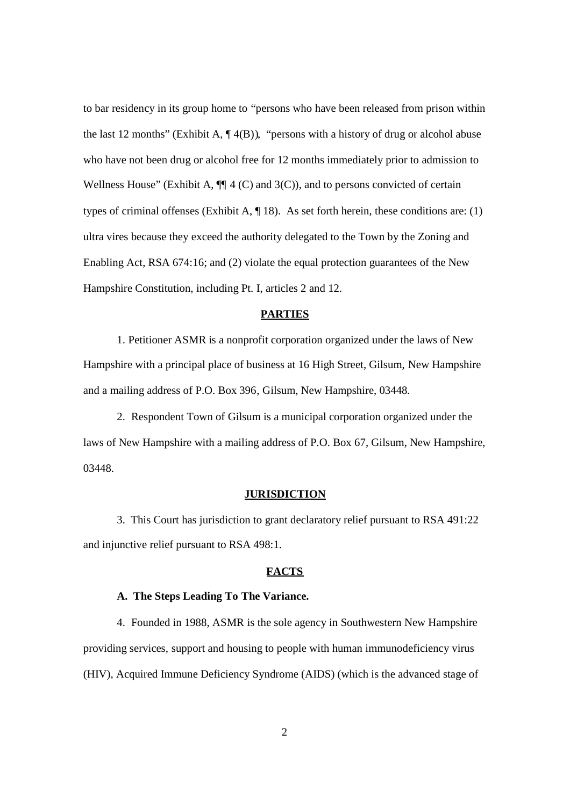to bar residency in its group home to "persons who have been released from prison within the last 12 months" (Exhibit A,  $\P$ 4(B)), "persons with a history of drug or alcohol abuse who have not been drug or alcohol free for 12 months immediately prior to admission to Wellness House" (Exhibit A,  $\P$  4 (C) and 3(C)), and to persons convicted of certain types of criminal offenses (Exhibit A, ¶ 18). As set forth herein, these conditions are: (1) ultra vires because they exceed the authority delegated to the Town by the Zoning and Enabling Act, RSA 674:16; and (2) violate the equal protection guarantees of the New Hampshire Constitution, including Pt. I, articles 2 and 12.

#### **PARTIES**

1. Petitioner ASMR is a nonprofit corporation organized under the laws of New Hampshire with a principal place of business at 16 High Street, Gilsum, New Hampshire and a mailing address of P.O. Box 396, Gilsum, New Hampshire, 03448.

2. Respondent Town of Gilsum is a municipal corporation organized under the laws of New Hampshire with a mailing address of P.O. Box 67, Gilsum, New Hampshire, 03448.

#### **JURISDICTION**

3. This Court has jurisdiction to grant declaratory relief pursuant to RSA 491:22 and injunctive relief pursuant to RSA 498:1.

### **FACTS**

### **A. The Steps Leading To The Variance.**

4. Founded in 1988, ASMR is the sole agency in Southwestern New Hampshire providing services, support and housing to people with human immunodeficiency virus (HIV), Acquired Immune Deficiency Syndrome (AIDS) (which is the advanced stage of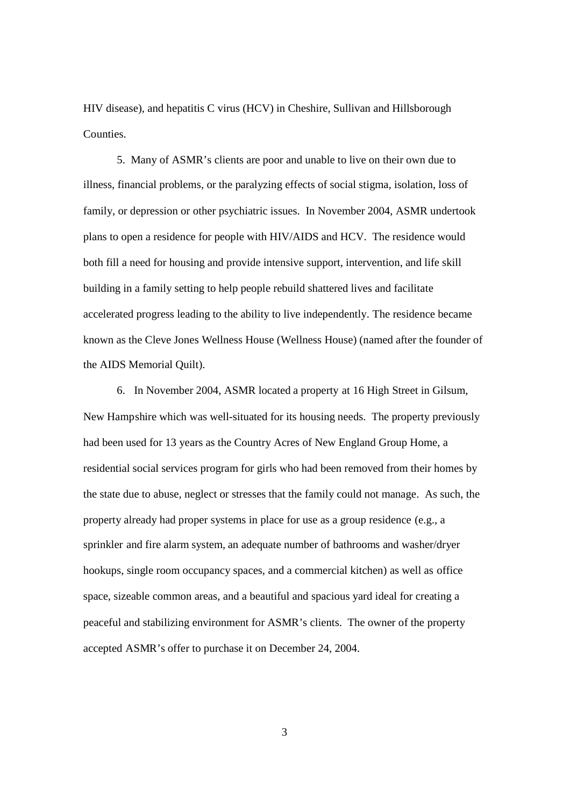HIV disease), and hepatitis C virus (HCV) in Cheshire, Sullivan and Hillsborough **Counties** 

5. Many of ASMR's clients are poor and unable to live on their own due to illness, financial problems, or the paralyzing effects of social stigma, isolation, loss of family, or depression or other psychiatric issues. In November 2004, ASMR undertook plans to open a residence for people with HIV/AIDS and HCV. The residence would both fill a need for housing and provide intensive support, intervention, and life skill building in a family setting to help people rebuild shattered lives and facilitate accelerated progress leading to the ability to live independently. The residence became known as the Cleve Jones Wellness House (Wellness House) (named after the founder of the AIDS Memorial Quilt).

6. In November 2004, ASMR located a property at 16 High Street in Gilsum, New Hampshire which was well-situated for its housing needs. The property previously had been used for 13 years as the Country Acres of New England Group Home, a residential social services program for girls who had been removed from their homes by the state due to abuse, neglect or stresses that the family could not manage. As such, the property already had proper systems in place for use as a group residence (e.g., a sprinkler and fire alarm system, an adequate number of bathrooms and washer/dryer hookups, single room occupancy spaces, and a commercial kitchen) as well as office space, sizeable common areas, and a beautiful and spacious yard ideal for creating a peaceful and stabilizing environment for ASMR's clients. The owner of the property accepted ASMR's offer to purchase it on December 24, 2004.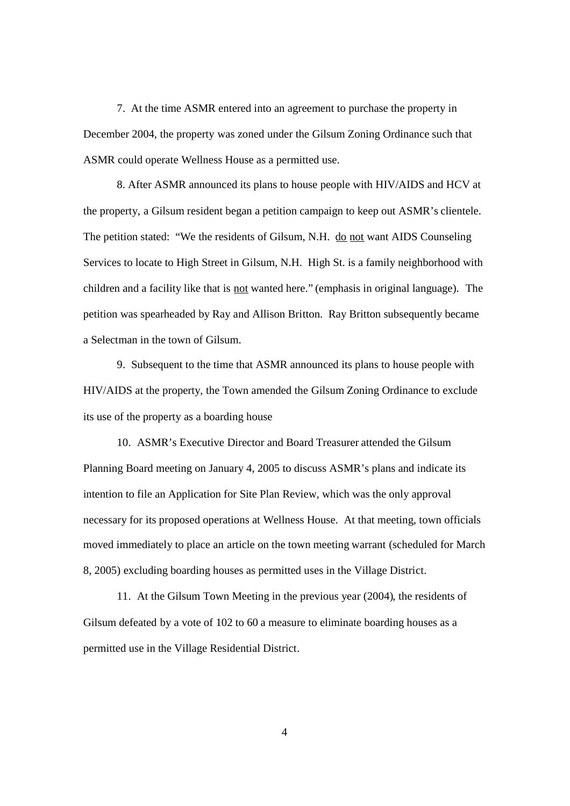7. At the time ASMR entered into an agreement to purchase the property in December 2004, the property was zoned under the Gilsum Zoning Ordinance such that ASMR could operate Wellness House as a permitted use.

8. After ASMR announced its plans to house people with HIV/AIDS and HCV at the property, a Gilsum resident began a petition campaign to keep out ASMR's clientele. The petition stated: "We the residents of Gilsum, N.H. do not want AIDS Counseling Services to locate to High Street in Gilsum, N.H. High St. is a family neighborhood with children and a facility like that is not wanted here." (emphasis in original language). The petition was spearheaded by Ray and Allison Britton. Ray Britton subsequently became a Selectman in the town of Gilsum.

9. Subsequent to the time that ASMR announced its plans to house people with HIV/AIDS at the property, the Town amended the Gilsum Zoning Ordinance to exclude its use of the property as a boarding house

10. ASMR's Executive Director and Board Treasurer attended the Gilsum Planning Board meeting on January 4, 2005 to discuss ASMR's plans and indicate its intention to file an Application for Site Plan Review, which was the only approval necessary for its proposed operations at Wellness House. At that meeting, town officials moved immediately to place an article on the town meeting warrant (scheduled for March 8, 2005) excluding boarding houses as permitted uses in the Village District.

11. At the Gilsum Town Meeting in the previous year (2004), the residents of Gilsum defeated by a vote of 102 to 60 a measure to eliminate boarding houses as a permitted use in the Village Residential District.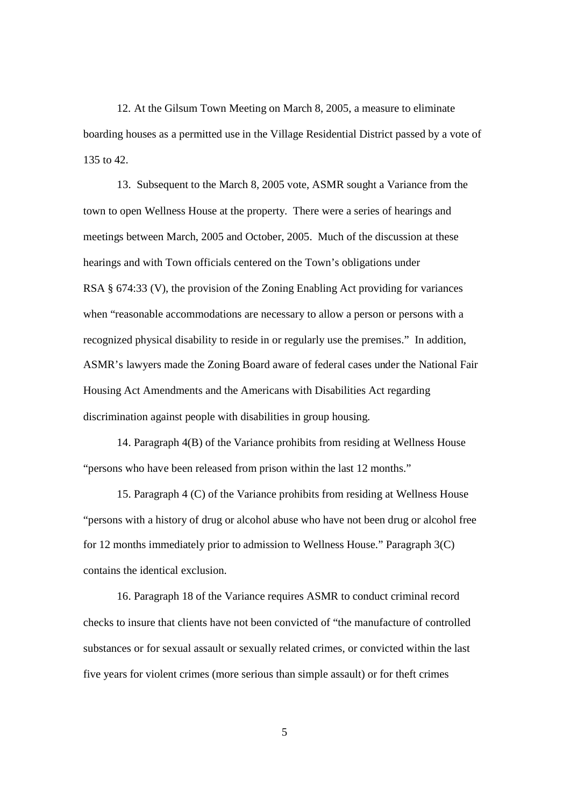12. At the Gilsum Town Meeting on March 8, 2005, a measure to eliminate boarding houses as a permitted use in the Village Residential District passed by a vote of 135 to 42.

13. Subsequent to the March 8, 2005 vote, ASMR sought a Variance from the town to open Wellness House at the property. There were a series of hearings and meetings between March, 2005 and October, 2005. Much of the discussion at these hearings and with Town officials centered on the Town's obligations under RSA § 674:33 (V), the provision of the Zoning Enabling Act providing for variances when "reasonable accommodations are necessary to allow a person or persons with a recognized physical disability to reside in or regularly use the premises." In addition, ASMR's lawyers made the Zoning Board aware of federal cases under the National Fair Housing Act Amendments and the Americans with Disabilities Act regarding discrimination against people with disabilities in group housing.

14. Paragraph 4(B) of the Variance prohibits from residing at Wellness House "persons who have been released from prison within the last 12 months."

15. Paragraph 4 (C) of the Variance prohibits from residing at Wellness House "persons with a history of drug or alcohol abuse who have not been drug or alcohol free for 12 months immediately prior to admission to Wellness House." Paragraph 3(C) contains the identical exclusion.

16. Paragraph 18 of the Variance requires ASMR to conduct criminal record checks to insure that clients have not been convicted of "the manufacture of controlled substances or for sexual assault or sexually related crimes, or convicted within the last five years for violent crimes (more serious than simple assault) or for theft crimes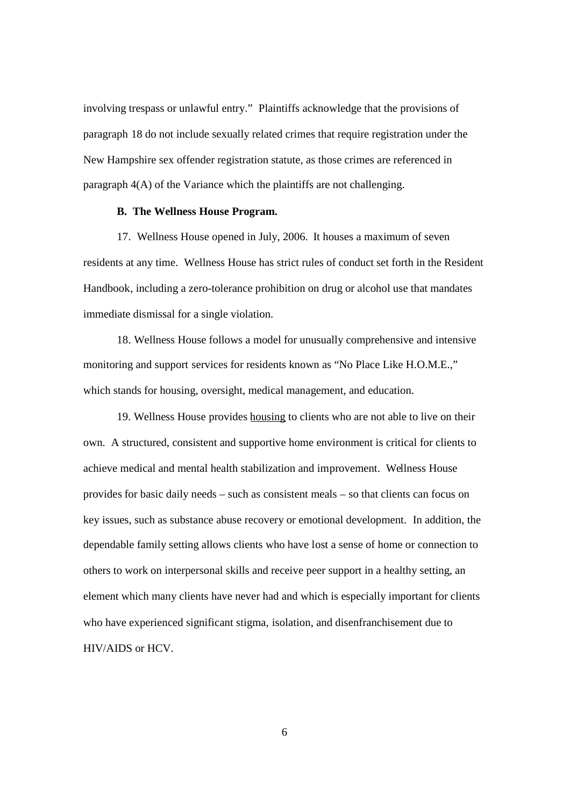involving trespass or unlawful entry." Plaintiffs acknowledge that the provisions of paragraph 18 do not include sexually related crimes that require registration under the New Hampshire sex offender registration statute, as those crimes are referenced in paragraph 4(A) of the Variance which the plaintiffs are not challenging.

### **B. The Wellness House Program.**

17. Wellness House opened in July, 2006. It houses a maximum of seven residents at any time. Wellness House has strict rules of conduct set forth in the Resident Handbook, including a zero-tolerance prohibition on drug or alcohol use that mandates immediate dismissal for a single violation.

18. Wellness House follows a model for unusually comprehensive and intensive monitoring and support services for residents known as "No Place Like H.O.M.E.," which stands for housing, oversight, medical management, and education.

19. Wellness House provides housing to clients who are not able to live on their own. A structured, consistent and supportive home environment is critical for clients to achieve medical and mental health stabilization and improvement. Wellness House provides for basic daily needs – such as consistent meals – so that clients can focus on key issues, such as substance abuse recovery or emotional development. In addition, the dependable family setting allows clients who have lost a sense of home or connection to others to work on interpersonal skills and receive peer support in a healthy setting, an element which many clients have never had and which is especially important for clients who have experienced significant stigma, isolation, and disenfranchisement due to HIV/AIDS or HCV.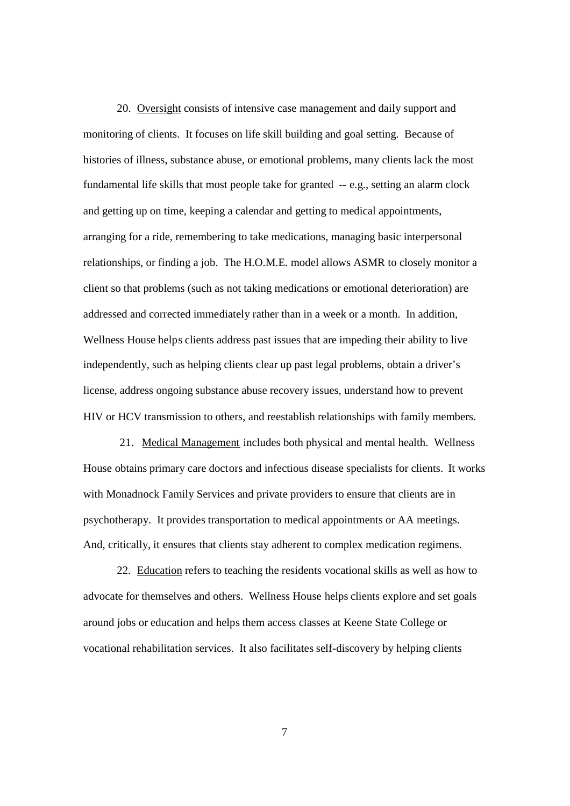20. Oversight consists of intensive case management and daily support and monitoring of clients. It focuses on life skill building and goal setting. Because of histories of illness, substance abuse, or emotional problems, many clients lack the most fundamental life skills that most people take for granted -- e.g., setting an alarm clock and getting up on time, keeping a calendar and getting to medical appointments, arranging for a ride, remembering to take medications, managing basic interpersonal relationships, or finding a job. The H.O.M.E. model allows ASMR to closely monitor a client so that problems (such as not taking medications or emotional deterioration) are addressed and corrected immediately rather than in a week or a month. In addition, Wellness House helps clients address past issues that are impeding their ability to live independently, such as helping clients clear up past legal problems, obtain a driver's license, address ongoing substance abuse recovery issues, understand how to prevent HIV or HCV transmission to others, and reestablish relationships with family members.

21. Medical Management includes both physical and mental health. Wellness House obtains primary care doctors and infectious disease specialists for clients. It works with Monadnock Family Services and private providers to ensure that clients are in psychotherapy. It provides transportation to medical appointments or AA meetings. And, critically, it ensures that clients stay adherent to complex medication regimens.

22. Education refers to teaching the residents vocational skills as well as how to advocate for themselves and others. Wellness House helps clients explore and set goals around jobs or education and helps them access classes at Keene State College or vocational rehabilitation services. It also facilitates self-discovery by helping clients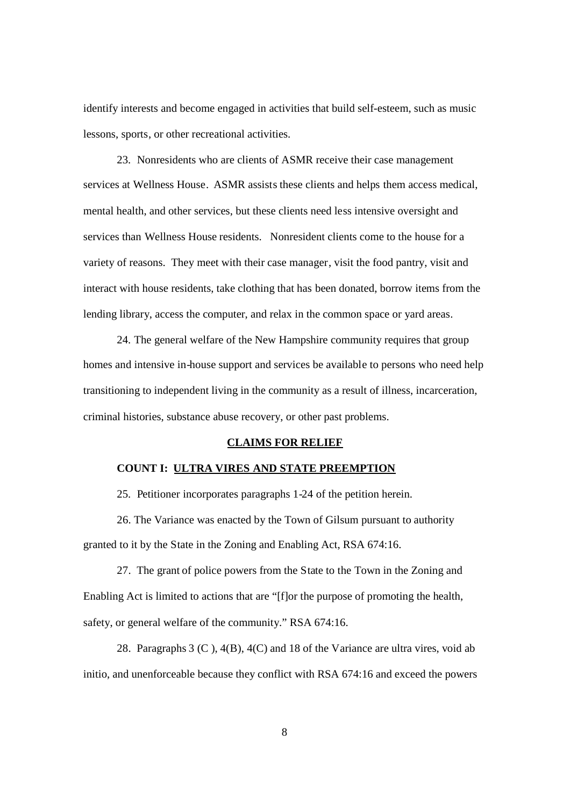identify interests and become engaged in activities that build self-esteem, such as music lessons, sports, or other recreational activities.

23. Nonresidents who are clients of ASMR receive their case management services at Wellness House. ASMR assists these clients and helps them access medical, mental health, and other services, but these clients need less intensive oversight and services than Wellness House residents. Nonresident clients come to the house for a variety of reasons. They meet with their case manager, visit the food pantry, visit and interact with house residents, take clothing that has been donated, borrow items from the lending library, access the computer, and relax in the common space or yard areas.

24. The general welfare of the New Hampshire community requires that group homes and intensive in-house support and services be available to persons who need help transitioning to independent living in the community as a result of illness, incarceration, criminal histories, substance abuse recovery, or other past problems.

#### **CLAIMS FOR RELIEF**

# **COUNT I: ULTRA VIRES AND STATE PREEMPTION**

25. Petitioner incorporates paragraphs 1-24 of the petition herein.

26. The Variance was enacted by the Town of Gilsum pursuant to authority granted to it by the State in the Zoning and Enabling Act, RSA 674:16.

27. The grant of police powers from the State to the Town in the Zoning and Enabling Act is limited to actions that are "[f]or the purpose of promoting the health, safety, or general welfare of the community." RSA 674:16.

28. Paragraphs 3 (C ), 4(B), 4(C) and 18 of the Variance are ultra vires, void ab initio, and unenforceable because they conflict with RSA 674:16 and exceed the powers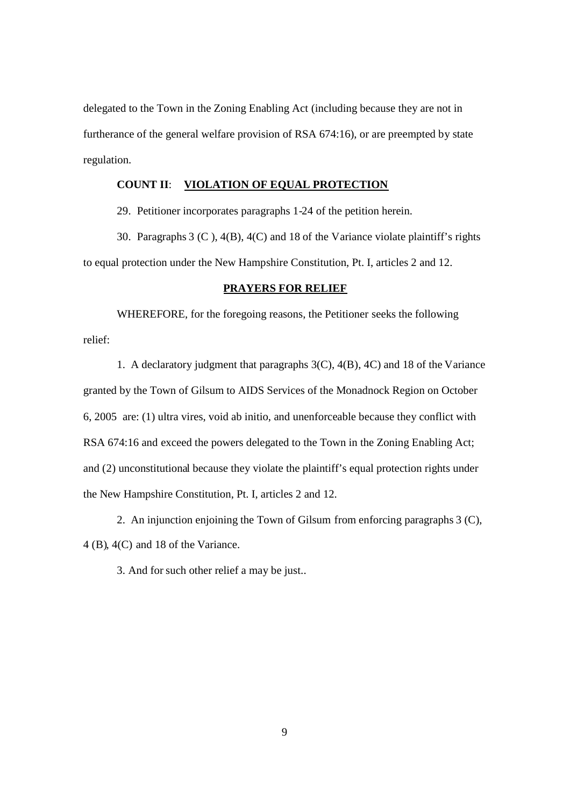delegated to the Town in the Zoning Enabling Act (including because they are not in furtherance of the general welfare provision of RSA 674:16), or are preempted by state regulation.

### **COUNT II**: **VIOLATION OF EQUAL PROTECTION**

29. Petitioner incorporates paragraphs 1-24 of the petition herein.

30. Paragraphs 3 (C ), 4(B), 4(C) and 18 of the Variance violate plaintiff's rights to equal protection under the New Hampshire Constitution, Pt. I, articles 2 and 12.

### **PRAYERS FOR RELIEF**

WHEREFORE, for the foregoing reasons, the Petitioner seeks the following relief:

1. A declaratory judgment that paragraphs 3(C), 4(B), 4C) and 18 of the Variance granted by the Town of Gilsum to AIDS Services of the Monadnock Region on October 6, 2005 are: (1) ultra vires, void ab initio, and unenforceable because they conflict with RSA 674:16 and exceed the powers delegated to the Town in the Zoning Enabling Act; and (2) unconstitutional because they violate the plaintiff's equal protection rights under the New Hampshire Constitution, Pt. I, articles 2 and 12.

2. An injunction enjoining the Town of Gilsum from enforcing paragraphs 3 (C), 4 (B), 4(C) and 18 of the Variance.

3. And for such other relief a may be just..